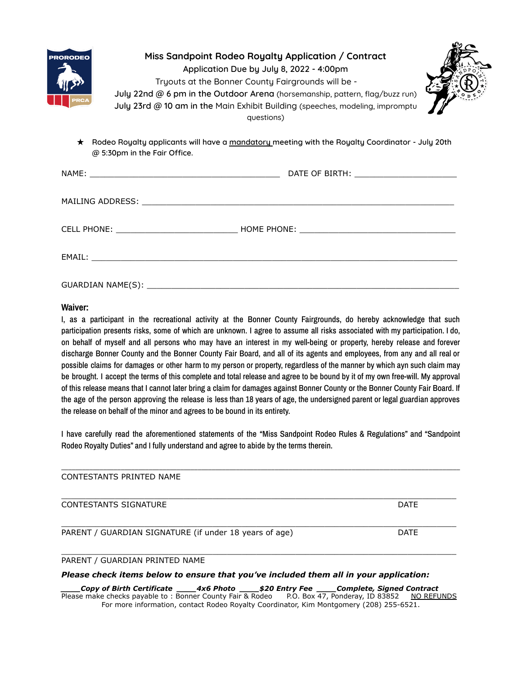| <b>RORODEO</b><br><b>PRCA</b> | Miss Sandpoint Rodeo Royalty Application / Contract<br>Application Due by July 8, 2022 - 4:00pm<br>Tryouts at the Bonner County Fairgrounds will be -<br>July 22nd @ 6 pm in the Outdoor Arena (horsemanship, pattern, flag/buzz run)<br>July 23rd @ 10 am in the Main Exhibit Building (speeches, modeling, impromptu<br>questions) |
|-------------------------------|--------------------------------------------------------------------------------------------------------------------------------------------------------------------------------------------------------------------------------------------------------------------------------------------------------------------------------------|
| $\star$                       | Rodeo Royalty applicants will have a mandatory meeting with the Royalty Coordinator - July 20th<br>@ 5:30pm in the Fair Office.                                                                                                                                                                                                      |
|                               |                                                                                                                                                                                                                                                                                                                                      |
|                               |                                                                                                                                                                                                                                                                                                                                      |
|                               |                                                                                                                                                                                                                                                                                                                                      |
|                               | EMAIL: The contract of the contract of the contract of the contract of the contract of the contract of the contract of the contract of the contract of the contract of the contract of the contract of the contract of the con                                                                                                       |
|                               |                                                                                                                                                                                                                                                                                                                                      |

#### **Waiver:**

GUARDIAN NAME(S):

I, as a participant in the recreational activity at the Bonner County Fairgrounds, do hereby acknowledge that such participation presents risks, some of which are unknown. I agree to assume all risks associated with my participation. I do, on behalf of myself and all persons who may have an interest in my well-being or property, hereby release and forever discharge Bonner County and the Bonner County Fair Board, and all of its agents and employees, from any and all real or possible claims for damages or other harm to my person or property, regardless of the manner by which ayn such claim may be brought. I accept the terms of this complete and total release and agree to be bound by it of my own free-will. My approval of this release means that I cannot later bring a claim for damages against Bonner County or the Bonner County Fair Board. If the age of the person approving the release is less than 18 years of age, the undersigned parent or legal guardian approves the release on behalf of the minor and agrees to be bound in its entirety.

I have carefully read the aforementioned statements of the "Miss Sandpoint Rodeo Rules & Regulations" and "Sandpoint Rodeo Royalty Duties" and I fully understand and agree to abide by the terms therein.

| CONTESTANTS PRINTED NAME                               |             |
|--------------------------------------------------------|-------------|
| <b>CONTESTANTS SIGNATURE</b>                           | <b>DATE</b> |
| PARENT / GUARDIAN SIGNATURE (if under 18 years of age) | <b>DATE</b> |
| PARENT / GUARDIAN PRINTED NAME                         |             |

### *Please check items below to ensure that you've included them all in your application:*

*\_\_\_\_Copy of Birth Certificate \_\_\_\_4x6 Photo \_\_\_\_\$20 Entry Fee \_\_\_\_Complete, Signed Contract* Please make checks payable to : Bonner County Fair & Rodeo For more information, contact Rodeo Royalty Coordinator, Kim Montgomery (208) 255-6521.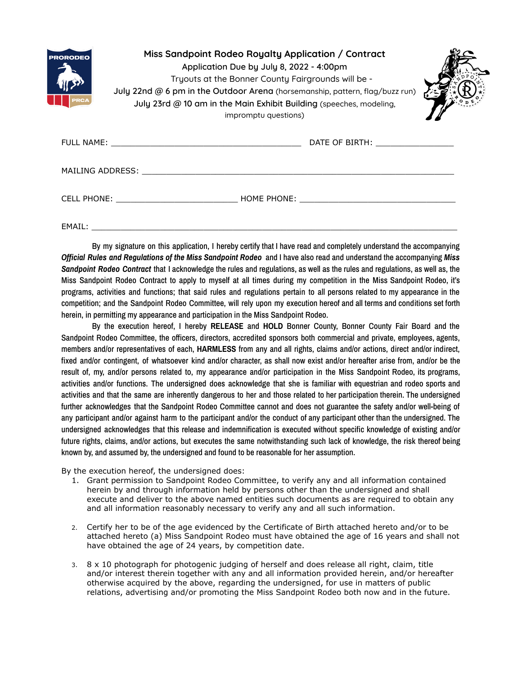| <b>PRORODEO</b><br><b>PRCA</b> | Miss Sandpoint Rodeo Royalty Application / Contract<br>Application Due by July 8, 2022 - 4:00pm<br>Tryouts at the Bonner County Fairgrounds will be -<br>July 22nd @ 6 pm in the Outdoor Arena (horsemanship, pattern, flag/buzz run)<br>July 23rd @ 10 am in the Main Exhibit Building (speeches, modeling,<br>impromptu questions) |  |  |
|--------------------------------|--------------------------------------------------------------------------------------------------------------------------------------------------------------------------------------------------------------------------------------------------------------------------------------------------------------------------------------|--|--|
|                                |                                                                                                                                                                                                                                                                                                                                      |  |  |
|                                | MAILING ADDRESS: NATIONAL SERVICES                                                                                                                                                                                                                                                                                                   |  |  |
|                                | CELL PHONE: THE RESERVE HOME PHONE:                                                                                                                                                                                                                                                                                                  |  |  |

EMAIL: \_\_\_\_\_\_\_\_\_\_\_\_\_\_\_\_\_\_\_\_\_\_\_\_\_\_\_\_\_\_\_\_\_\_\_\_\_\_\_\_\_\_\_\_\_\_\_\_\_\_\_\_\_\_\_\_\_\_\_\_\_\_\_\_\_\_\_\_\_\_\_\_\_\_\_

By my signature on this application, I hereby certify that I have read and completely understand the accompanying *Official Rules and Regulations of the Miss Sandpoint Rodeo* and I have also read and understand the accompanying *Miss Sandpoint Rodeo Contract* that I acknowledge the rules and regulations, as well as the rules and regulations, as well as, the Miss Sandpoint Rodeo Contract to apply to myself at all times during my competition in the Miss Sandpoint Rodeo, it's programs, activities and functions; that said rules and regulations pertain to all persons related to my appearance in the competition; and the Sandpoint Rodeo Committee, will rely upon my execution hereof and all terms and conditions set forth herein, in permitting my appearance and participation in the Miss Sandpoint Rodeo.

By the execution hereof, I hereby **RELEASE** and **HOLD** Bonner County, Bonner County Fair Board and the Sandpoint Rodeo Committee, the officers, directors, accredited sponsors both commercial and private, employees, agents, members and/or representatives of each, **HARMLESS** from any and all rights, claims and/or actions, direct and/or indirect, fixed and/or contingent, of whatsoever kind and/or character, as shall now exist and/or hereafter arise from, and/or be the result of, my, and/or persons related to, my appearance and/or participation in the Miss Sandpoint Rodeo, its programs, activities and/or functions. The undersigned does acknowledge that she is familiar with equestrian and rodeo sports and activities and that the same are inherently dangerous to her and those related to her participation therein. The undersigned further acknowledges that the Sandpoint Rodeo Committee cannot and does not guarantee the safety and/or well-being of any participant and/or against harm to the participant and/or the conduct of any participant other than the undersigned. The undersigned acknowledges that this release and indemnification is executed without specific knowledge of existing and/or future rights, claims, and/or actions, but executes the same notwithstanding such lack of knowledge, the risk thereof being known by, and assumed by, the undersigned and found to be reasonable for her assumption.

By the execution hereof, the undersigned does:

- 1. Grant permission to Sandpoint Rodeo Committee, to verify any and all information contained herein by and through information held by persons other than the undersigned and shall execute and deliver to the above named entities such documents as are required to obtain any and all information reasonably necessary to verify any and all such information.
- 2. Certify her to be of the age evidenced by the Certificate of Birth attached hereto and/or to be attached hereto (a) Miss Sandpoint Rodeo must have obtained the age of 16 years and shall not have obtained the age of 24 years, by competition date.
- 3. 8 x 10 photograph for photogenic judging of herself and does release all right, claim, title and/or interest therein together with any and all information provided herein, and/or hereafter otherwise acquired by the above, regarding the undersigned, for use in matters of public relations, advertising and/or promoting the Miss Sandpoint Rodeo both now and in the future.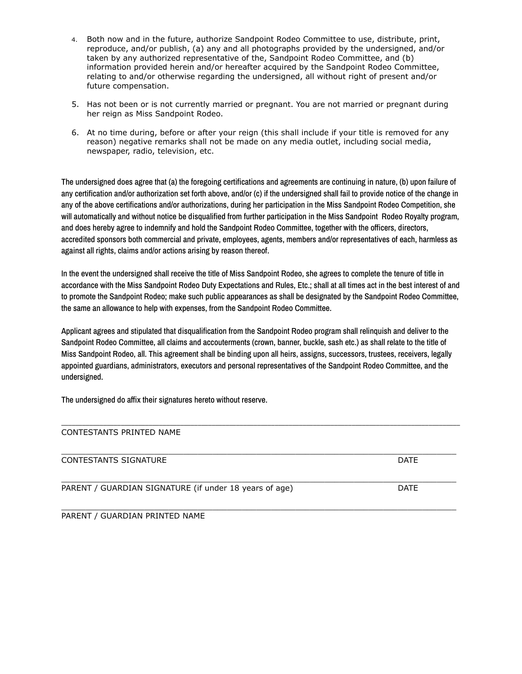- 4. Both now and in the future, authorize Sandpoint Rodeo Committee to use, distribute, print, reproduce, and/or publish, (a) any and all photographs provided by the undersigned, and/or taken by any authorized representative of the, Sandpoint Rodeo Committee, and (b) information provided herein and/or hereafter acquired by the Sandpoint Rodeo Committee, relating to and/or otherwise regarding the undersigned, all without right of present and/or future compensation.
- 5. Has not been or is not currently married or pregnant. You are not married or pregnant during her reign as Miss Sandpoint Rodeo.
- 6. At no time during, before or after your reign (this shall include if your title is removed for any reason) negative remarks shall not be made on any media outlet, including social media, newspaper, radio, television, etc.

The undersigned does agree that (a) the foregoing certifications and agreements are continuing in nature, (b) upon failure of any certification and/or authorization set forth above, and/or (c) if the undersigned shall fail to provide notice of the change in any of the above certifications and/or authorizations, during her participation in the Miss Sandpoint Rodeo Competition, she will automatically and without notice be disqualified from further participation in the Miss Sandpoint Rodeo Royalty program, and does hereby agree to indemnify and hold the Sandpoint Rodeo Committee, together with the officers, directors, accredited sponsors both commercial and private, employees, agents, members and/or representatives of each, harmless as against all rights, claims and/or actions arising by reason thereof.

In the event the undersigned shall receive the title of Miss Sandpoint Rodeo, she agrees to complete the tenure of title in accordance with the Miss Sandpoint Rodeo Duty Expectations and Rules, Etc.; shall at all times act in the best interest of and to promote the Sandpoint Rodeo; make such public appearances as shall be designated by the Sandpoint Rodeo Committee, the same an allowance to help with expenses, from the Sandpoint Rodeo Committee.

Applicant agrees and stipulated that disqualification from the Sandpoint Rodeo program shall relinquish and deliver to the Sandpoint Rodeo Committee, all claims and accouterments (crown, banner, buckle, sash etc.) as shall relate to the title of Miss Sandpoint Rodeo, all. This agreement shall be binding upon all heirs, assigns, successors, trustees, receivers, legally appointed guardians, administrators, executors and personal representatives of the Sandpoint Rodeo Committee, and the undersigned.

The undersigned do affix their signatures hereto without reserve.

# CONTESTANTS PRINTED NAME \_\_\_\_\_\_\_\_\_\_\_\_\_\_\_\_\_\_\_\_\_\_\_\_\_\_\_\_\_\_\_\_\_\_\_\_\_\_\_\_\_\_\_\_\_\_\_\_\_\_\_\_\_\_\_\_\_\_\_\_\_\_\_\_\_\_\_\_\_\_\_\_\_\_\_\_\_\_\_\_\_ CONTESTANTS SIGNATURE **Example 2018** DATE \_\_\_\_\_\_\_\_\_\_\_\_\_\_\_\_\_\_\_\_\_\_\_\_\_\_\_\_\_\_\_\_\_\_\_\_\_\_\_\_\_\_\_\_\_\_\_\_\_\_\_\_\_\_\_\_\_\_\_\_\_\_\_\_\_\_\_\_\_\_\_\_\_\_\_\_\_\_\_\_\_ PARENT / GUARDIAN SIGNATURE (if under 18 years of age) DATE

\_\_\_\_\_\_\_\_\_\_\_\_\_\_\_\_\_\_\_\_\_\_\_\_\_\_\_\_\_\_\_\_\_\_\_\_\_\_\_\_\_\_\_\_\_\_\_\_\_\_\_\_\_\_\_\_\_\_\_\_\_\_\_\_\_\_\_\_\_\_\_\_\_\_\_\_\_\_\_\_\_\_\_\_\_\_\_\_\_\_\_\_\_\_\_\_\_\_\_\_\_\_\_\_\_\_\_\_\_\_\_\_\_\_

\_\_\_\_\_\_\_\_\_\_\_\_\_\_\_\_\_\_\_\_\_\_\_\_\_\_\_\_\_\_\_\_\_\_\_\_\_\_\_\_\_\_\_\_\_\_\_\_\_\_\_\_\_\_\_\_\_\_\_\_\_\_\_\_\_\_\_\_\_\_\_\_\_\_\_\_\_\_\_\_\_ PARENT / GUARDIAN PRINTED NAME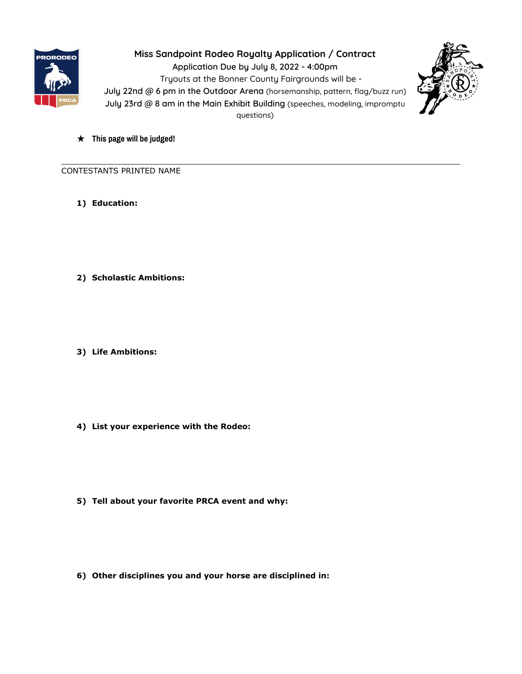

**Miss Sandpoint Rodeo Royalty Application / Contract Application Due by July 8, 2022 - 4:00pm** Tryouts at the Bonner County Fairgrounds will be - **July 22nd @ 6 pm in the Outdoor Arena** (horsemanship, pattern, flag/buzz run) **July 23rd @ 8 am in the Main Exhibit Building** (speeches, modeling, impromptu questions)

\_\_\_\_\_\_\_\_\_\_\_\_\_\_\_\_\_\_\_\_\_\_\_\_\_\_\_\_\_\_\_\_\_\_\_\_\_\_\_\_\_\_\_\_\_\_\_\_\_\_\_\_\_\_\_\_\_\_\_\_\_\_\_\_\_\_\_\_\_\_\_\_\_\_\_\_\_\_\_\_\_\_\_\_\_\_\_\_\_\_\_\_\_\_\_\_\_\_\_\_\_\_\_\_\_\_\_\_\_\_\_\_\_\_



★ **This page will be judged!**

CONTESTANTS PRINTED NAME

- **1) Education:**
- **2) Scholastic Ambitions:**
- **3) Life Ambitions:**
- **4) List your experience with the Rodeo:**
- **5) Tell about your favorite PRCA event and why:**
- **6) Other disciplines you and your horse are disciplined in:**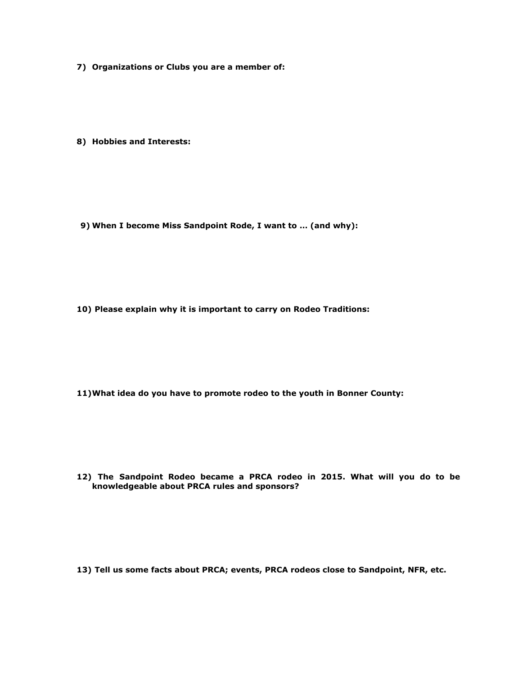**7) Organizations or Clubs you are a member of:**

**8) Hobbies and Interests:**

**9) When I become Miss Sandpoint Rode, I want to … (and why):**

**10) Please explain why it is important to carry on Rodeo Traditions:**

**11)What idea do you have to promote rodeo to the youth in Bonner County:**

**12) The Sandpoint Rodeo became a PRCA rodeo in 2015. What will you do to be knowledgeable about PRCA rules and sponsors?**

**13) Tell us some facts about PRCA; events, PRCA rodeos close to Sandpoint, NFR, etc.**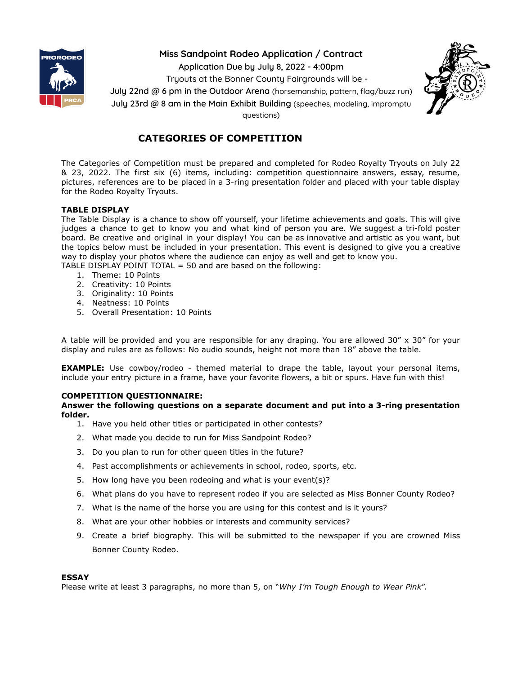

## **Miss Sandpoint Rodeo Application / Contract**

**Application Due by July 8, 2022 - 4:00pm**

Tryouts at the Bonner County Fairgrounds will be -

**July 22nd @ 6 pm in the Outdoor Arena** (horsemanship, pattern, flag/buzz run)

**July 23rd @ 8 am in the Main Exhibit Building** (speeches, modeling, impromptu

questions)



## **CATEGORIES OF COMPETITION**

The Categories of Competition must be prepared and completed for Rodeo Royalty Tryouts on July 22 & 23, 2022. The first six (6) items, including: competition questionnaire answers, essay, resume, pictures, references are to be placed in a 3-ring presentation folder and placed with your table display for the Rodeo Royalty Tryouts.

## **TABLE DISPLAY**

The Table Display is a chance to show off yourself, your lifetime achievements and goals. This will give judges a chance to get to know you and what kind of person you are. We suggest a tri-fold poster board. Be creative and original in your display! You can be as innovative and artistic as you want, but the topics below must be included in your presentation. This event is designed to give you a creative way to display your photos where the audience can enjoy as well and get to know you.

TABLE DISPLAY POINT TOTAL  $=$  50 and are based on the following:

- 1. Theme: 10 Points
- 2. Creativity: 10 Points
- 3. Originality: 10 Points
- 4. Neatness: 10 Points
- 5. Overall Presentation: 10 Points

A table will be provided and you are responsible for any draping. You are allowed 30" x 30" for your display and rules are as follows: No audio sounds, height not more than 18" above the table.

**EXAMPLE:** Use cowboy/rodeo - themed material to drape the table, layout your personal items, include your entry picture in a frame, have your favorite flowers, a bit or spurs. Have fun with this!

## **COMPETITION QUESTIONNAIRE:**

**Answer the following questions on a separate document and put into a 3-ring presentation folder.**

- 1. Have you held other titles or participated in other contests?
- 2. What made you decide to run for Miss Sandpoint Rodeo?
- 3. Do you plan to run for other queen titles in the future?
- 4. Past accomplishments or achievements in school, rodeo, sports, etc.
- 5. How long have you been rodeoing and what is your event(s)?
- 6. What plans do you have to represent rodeo if you are selected as Miss Bonner County Rodeo?
- 7. What is the name of the horse you are using for this contest and is it yours?
- 8. What are your other hobbies or interests and community services?
- 9. Create a brief biography. This will be submitted to the newspaper if you are crowned Miss Bonner County Rodeo.

## **ESSAY**

Please write at least 3 paragraphs, no more than 5, on "*Why I'm Tough Enough to Wear Pink*".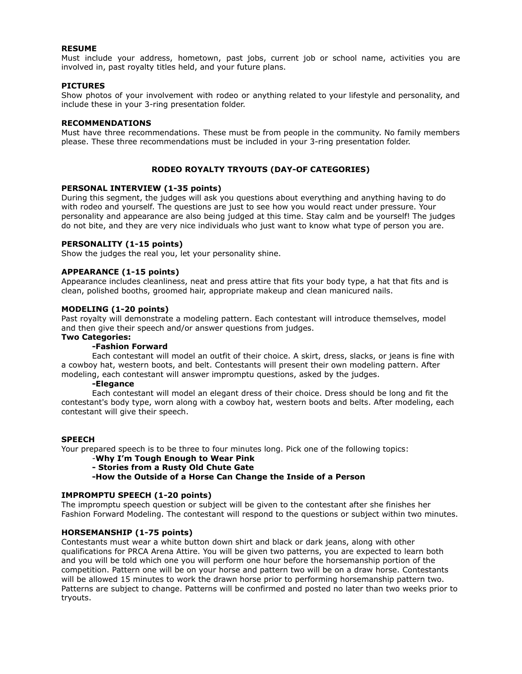#### **RESUME**

Must include your address, hometown, past jobs, current job or school name, activities you are involved in, past royalty titles held, and your future plans.

#### **PICTURES**

Show photos of your involvement with rodeo or anything related to your lifestyle and personality, and include these in your 3-ring presentation folder.

#### **RECOMMENDATIONS**

Must have three recommendations. These must be from people in the community. No family members please. These three recommendations must be included in your 3-ring presentation folder.

#### **RODEO ROYALTY TRYOUTS (DAY-OF CATEGORIES)**

#### **PERSONAL INTERVIEW (1-35 points)**

During this segment, the judges will ask you questions about everything and anything having to do with rodeo and yourself. The questions are just to see how you would react under pressure. Your personality and appearance are also being judged at this time. Stay calm and be yourself! The judges do not bite, and they are very nice individuals who just want to know what type of person you are.

#### **PERSONALITY (1-15 points)**

Show the judges the real you, let your personality shine.

#### **APPEARANCE (1-15 points)**

Appearance includes cleanliness, neat and press attire that fits your body type, a hat that fits and is clean, polished booths, groomed hair, appropriate makeup and clean manicured nails.

#### **MODELING (1-20 points)**

Past royalty will demonstrate a modeling pattern. Each contestant will introduce themselves, model and then give their speech and/or answer questions from judges.

## **Two Categories:**

## **-Fashion Forward**

Each contestant will model an outfit of their choice. A skirt, dress, slacks, or jeans is fine with a cowboy hat, western boots, and belt. Contestants will present their own modeling pattern. After modeling, each contestant will answer impromptu questions, asked by the judges.

#### **-Elegance**

Each contestant will model an elegant dress of their choice. Dress should be long and fit the contestant's body type, worn along with a cowboy hat, western boots and belts. After modeling, each contestant will give their speech.

#### **SPEECH**

Your prepared speech is to be three to four minutes long. Pick one of the following topics:

## -**Why I'm Tough Enough to Wear Pink**

#### **- Stories from a Rusty Old Chute Gate**

**-How the Outside of a Horse Can Change the Inside of a Person**

#### **IMPROMPTU SPEECH (1-20 points)**

The impromptu speech question or subject will be given to the contestant after she finishes her Fashion Forward Modeling. The contestant will respond to the questions or subject within two minutes.

### **HORSEMANSHIP (1-75 points)**

Contestants must wear a white button down shirt and black or dark jeans, along with other qualifications for PRCA Arena Attire. You will be given two patterns, you are expected to learn both and you will be told which one you will perform one hour before the horsemanship portion of the competition. Pattern one will be on your horse and pattern two will be on a draw horse. Contestants will be allowed 15 minutes to work the drawn horse prior to performing horsemanship pattern two. Patterns are subject to change. Patterns will be confirmed and posted no later than two weeks prior to tryouts.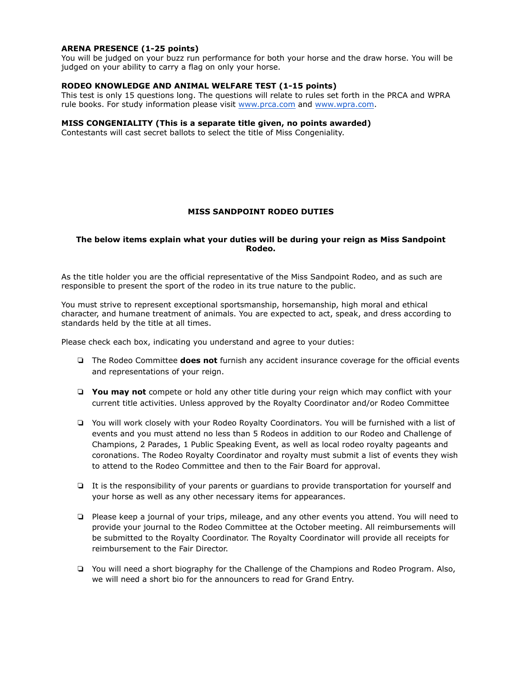### **ARENA PRESENCE (1-25 points)**

You will be judged on your buzz run performance for both your horse and the draw horse. You will be judged on your ability to carry a flag on only your horse.

## **RODEO KNOWLEDGE AND ANIMAL WELFARE TEST (1-15 points)**

This test is only 15 questions long. The questions will relate to rules set forth in the PRCA and WPRA rule books. For study information please visit [www.prca.com](http://www.prca.com) and [www.wpra.com.](http://www.wpra.com)

#### **MISS CONGENIALITY (This is a separate title given, no points awarded)**

Contestants will cast secret ballots to select the title of Miss Congeniality.

#### **MISS SANDPOINT RODEO DUTIES**

#### **The below items explain what your duties will be during your reign as Miss Sandpoint Rodeo.**

As the title holder you are the official representative of the Miss Sandpoint Rodeo, and as such are responsible to present the sport of the rodeo in its true nature to the public.

You must strive to represent exceptional sportsmanship, horsemanship, high moral and ethical character, and humane treatment of animals. You are expected to act, speak, and dress according to standards held by the title at all times.

Please check each box, indicating you understand and agree to your duties:

- ❏ The Rodeo Committee **does not** furnish any accident insurance coverage for the official events and representations of your reign.
- ❏ **You may not** compete or hold any other title during your reign which may conflict with your current title activities. Unless approved by the Royalty Coordinator and/or Rodeo Committee
- ❏ You will work closely with your Rodeo Royalty Coordinators. You will be furnished with a list of events and you must attend no less than 5 Rodeos in addition to our Rodeo and Challenge of Champions, 2 Parades, 1 Public Speaking Event, as well as local rodeo royalty pageants and coronations. The Rodeo Royalty Coordinator and royalty must submit a list of events they wish to attend to the Rodeo Committee and then to the Fair Board for approval.
- ❏ It is the responsibility of your parents or guardians to provide transportation for yourself and your horse as well as any other necessary items for appearances.
- ❏ Please keep a journal of your trips, mileage, and any other events you attend. You will need to provide your journal to the Rodeo Committee at the October meeting. All reimbursements will be submitted to the Royalty Coordinator. The Royalty Coordinator will provide all receipts for reimbursement to the Fair Director.
- ❏ You will need a short biography for the Challenge of the Champions and Rodeo Program. Also, we will need a short bio for the announcers to read for Grand Entry.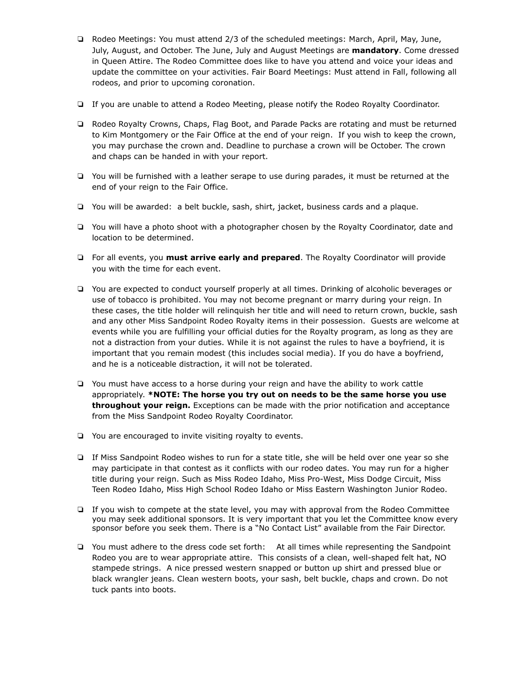- ❏ Rodeo Meetings: You must attend 2/3 of the scheduled meetings: March, April, May, June, July, August, and October. The June, July and August Meetings are **mandatory**. Come dressed in Queen Attire. The Rodeo Committee does like to have you attend and voice your ideas and update the committee on your activities. Fair Board Meetings: Must attend in Fall, following all rodeos, and prior to upcoming coronation.
- ❏ If you are unable to attend a Rodeo Meeting, please notify the Rodeo Royalty Coordinator.
- ❏ Rodeo Royalty Crowns, Chaps, Flag Boot, and Parade Packs are rotating and must be returned to Kim Montgomery or the Fair Office at the end of your reign. If you wish to keep the crown, you may purchase the crown and. Deadline to purchase a crown will be October. The crown and chaps can be handed in with your report.
- ❏ You will be furnished with a leather serape to use during parades, it must be returned at the end of your reign to the Fair Office.
- ❏ You will be awarded: a belt buckle, sash, shirt, jacket, business cards and a plaque.
- ❏ You will have a photo shoot with a photographer chosen by the Royalty Coordinator, date and location to be determined.
- ❏ For all events, you **must arrive early and prepared**. The Royalty Coordinator will provide you with the time for each event.
- ❏ You are expected to conduct yourself properly at all times. Drinking of alcoholic beverages or use of tobacco is prohibited. You may not become pregnant or marry during your reign. In these cases, the title holder will relinquish her title and will need to return crown, buckle, sash and any other Miss Sandpoint Rodeo Royalty items in their possession. Guests are welcome at events while you are fulfilling your official duties for the Royalty program, as long as they are not a distraction from your duties. While it is not against the rules to have a boyfriend, it is important that you remain modest (this includes social media). If you do have a boyfriend, and he is a noticeable distraction, it will not be tolerated.
- ❏ You must have access to a horse during your reign and have the ability to work cattle appropriately. **\*NOTE: The horse you try out on needs to be the same horse you use throughout your reign.** Exceptions can be made with the prior notification and acceptance from the Miss Sandpoint Rodeo Royalty Coordinator.
- ❏ You are encouraged to invite visiting royalty to events.
- ❏ If Miss Sandpoint Rodeo wishes to run for a state title, she will be held over one year so she may participate in that contest as it conflicts with our rodeo dates. You may run for a higher title during your reign. Such as Miss Rodeo Idaho, Miss Pro-West, Miss Dodge Circuit, Miss Teen Rodeo Idaho, Miss High School Rodeo Idaho or Miss Eastern Washington Junior Rodeo.
- ❏ If you wish to compete at the state level, you may with approval from the Rodeo Committee you may seek additional sponsors. It is very important that you let the Committee know every sponsor before you seek them. There is a "No Contact List" available from the Fair Director.
- ❏ You must adhere to the dress code set forth: At all times while representing the Sandpoint Rodeo you are to wear appropriate attire. This consists of a clean, well-shaped felt hat, NO stampede strings. A nice pressed western snapped or button up shirt and pressed blue or black wrangler jeans. Clean western boots, your sash, belt buckle, chaps and crown. Do not tuck pants into boots.